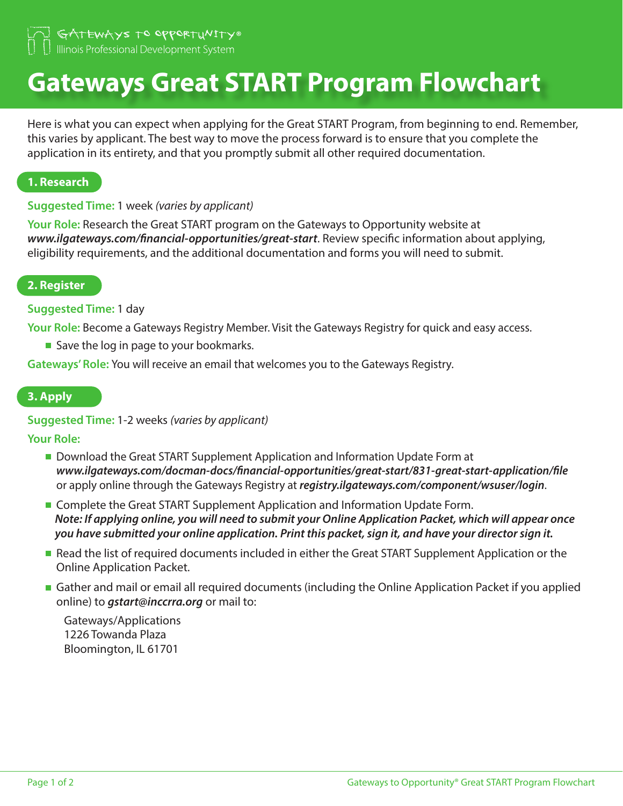GATEWAYS TO OPPORTUNITY® Illinois Professional Development System

# **Gateways Great START Program Flowchart**

Here is what you can expect when applying for the Great START Program, from beginning to end. Remember, this varies by applicant. The best way to move the process forward is to ensure that you complete the application in its entirety, and that you promptly submit all other required documentation.

## **1. Research**

## **Suggested Time:** 1 week *(varies by applicant)*

**Your Role:** Research the Great START program on the Gateways to Opportunity website at *www.ilgateways.com/financial-opportunities/great-start*. Review specific information about applying, eligibility requirements, and the additional documentation and forms you will need to submit.

## **2. Register**

## **Suggested Time:** 1 day

**Your Role:** Become a Gateways Registry Member. Visit the Gateways Registry for quick and easy access.

■ Save the log in page to your bookmarks.

**Gateways' Role:** You will receive an email that welcomes you to the Gateways Registry.

#### **3. Apply**

## **Suggested Time:** 1-2 weeks *(varies by applicant)*

**Your Role:**

- **Download the Great START Supplement Application and Information Update Form at** *www.ilgateways.com/docman-docs/financial-opportunities/great-start/831-great-start-application/file* or apply online through the Gateways Registry at *registry.ilgateways.com/component/wsuser/login*.
- **Complete the Great START Supplement Application and Information Update Form.** *Note: If applying online, you will need to submit your Online Application Packet, which will appear once you have submitted your online application. Print this packet, sign it, and have your director sign it.*
- Read the list of required documents included in either the Great START Supplement Application or the Online Application Packet.
- Gather and mail or email all required documents (including the Online Application Packet if you applied online) to *gstart@inccrra.org* or mail to:

Gateways/Applications 1226 Towanda Plaza Bloomington, IL 61701